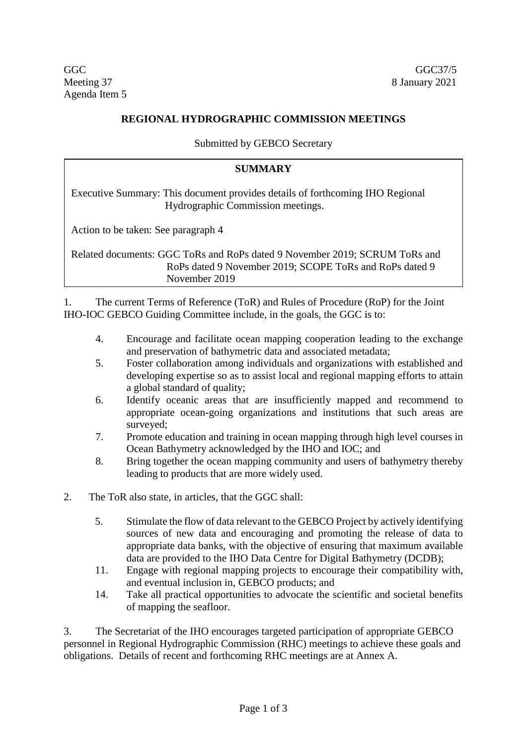Agenda Item 5

## **REGIONAL HYDROGRAPHIC COMMISSION MEETINGS**

Submitted by GEBCO Secretary

## **SUMMARY**

Executive Summary: This document provides details of forthcoming IHO Regional Hydrographic Commission meetings.

Action to be taken: See paragraph 4

Related documents: GGC ToRs and RoPs dated 9 November 2019; SCRUM ToRs and RoPs dated 9 November 2019; SCOPE ToRs and RoPs dated 9 November 2019

1. The current Terms of Reference (ToR) and Rules of Procedure (RoP) for the Joint IHO-IOC GEBCO Guiding Committee include, in the goals, the GGC is to:

- 4. Encourage and facilitate ocean mapping cooperation leading to the exchange and preservation of bathymetric data and associated metadata;
- 5. Foster collaboration among individuals and organizations with established and developing expertise so as to assist local and regional mapping efforts to attain a global standard of quality;
- 6. Identify oceanic areas that are insufficiently mapped and recommend to appropriate ocean-going organizations and institutions that such areas are surveyed;
- 7. Promote education and training in ocean mapping through high level courses in Ocean Bathymetry acknowledged by the IHO and IOC; and
- 8. Bring together the ocean mapping community and users of bathymetry thereby leading to products that are more widely used.
- 2. The ToR also state, in articles, that the GGC shall:
	- 5. Stimulate the flow of data relevant to the GEBCO Project by actively identifying sources of new data and encouraging and promoting the release of data to appropriate data banks, with the objective of ensuring that maximum available data are provided to the IHO Data Centre for Digital Bathymetry (DCDB);
	- 11. Engage with regional mapping projects to encourage their compatibility with, and eventual inclusion in, GEBCO products; and
	- 14. Take all practical opportunities to advocate the scientific and societal benefits of mapping the seafloor.

3. The Secretariat of the IHO encourages targeted participation of appropriate GEBCO personnel in Regional Hydrographic Commission (RHC) meetings to achieve these goals and obligations. Details of recent and forthcoming RHC meetings are at Annex A.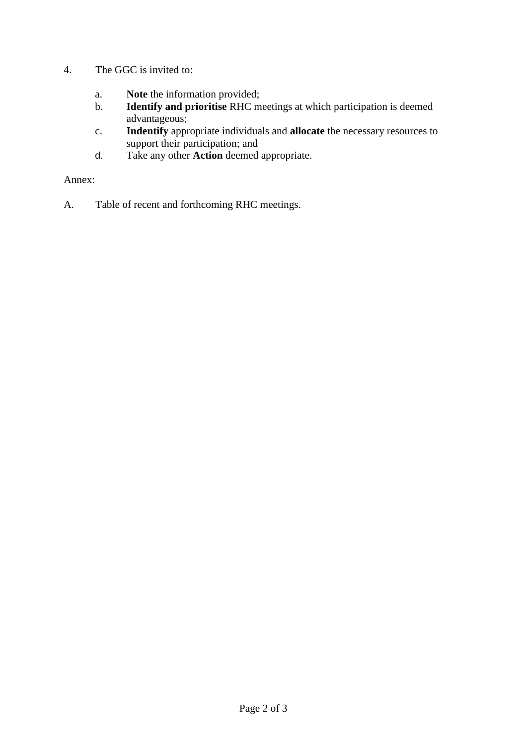- 4. The GGC is invited to:
	- a. **Note** the information provided;
	- b. **Identify and prioritise** RHC meetings at which participation is deemed advantageous;
	- c. **Indentify** appropriate individuals and **allocate** the necessary resources to support their participation; and
	- d. Take any other **Action** deemed appropriate.

Annex:

A. Table of recent and forthcoming RHC meetings.